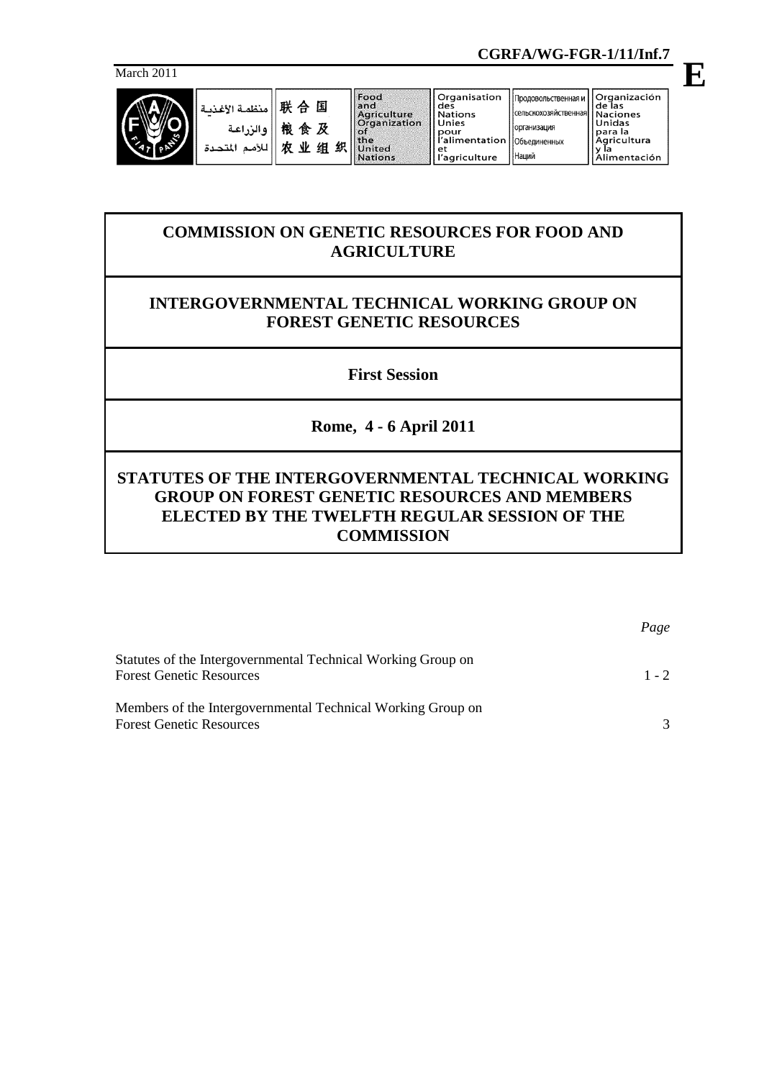

| March 2011                                |                                                |                                |                                                                                              |                                                                                                                | <u> CONNA INTERNATIONAL ALAMANINI ANNI ANNI INTERNATIONAL INTERNATIONAL INTERNATIONAL INTERNATIONAL INTERNATIONAL </u> |                                                                                                |  |
|-------------------------------------------|------------------------------------------------|--------------------------------|----------------------------------------------------------------------------------------------|----------------------------------------------------------------------------------------------------------------|------------------------------------------------------------------------------------------------------------------------|------------------------------------------------------------------------------------------------|--|
| $\overline{\mathcal{M}}$<br>$\mathcal{S}$ | منظمة الأغذسة<br>إوالزراعة<br>للأمم<br>المتحدة | 联合国<br>悢<br>食及<br>织<br>由<br>业组 | Food<br>land<br>Agriculture<br><b>Organization</b><br><b>lot</b><br>the<br>United<br>Nations | Organisation<br>des<br><b>Nations</b><br>Unies<br>pour<br>l'alimentation   Объединенных<br>et<br>l'agriculture | Продовольственная и<br>  сельскохозяйственная   !<br><b>организация</b><br>Наций                                       | Organización<br>de las<br>Naciones<br>Unidas<br>para la<br>Agricultura<br>v Ia<br>Alimentación |  |

# **COMMISSION ON GENETIC RESOURCES FOR FOOD AND AGRICULTURE**

# **INTERGOVERNMENTAL TECHNICAL WORKING GROUP ON FOREST GENETIC RESOURCES**

**First Session**

**Rome, 4 - 6 April 2011**

# **STATUTES OF THE INTERGOVERNMENTAL TECHNICAL WORKING GROUP ON FOREST GENETIC RESOURCES AND MEMBERS ELECTED BY THE TWELFTH REGULAR SESSION OF THE COMMISSION**

|                                                                                                 | Page          |
|-------------------------------------------------------------------------------------------------|---------------|
| Statutes of the Intergovernmental Technical Working Group on<br><b>Forest Genetic Resources</b> | $1 - 2$       |
| Members of the Intergovernmental Technical Working Group on<br><b>Forest Genetic Resources</b>  | $\mathcal{R}$ |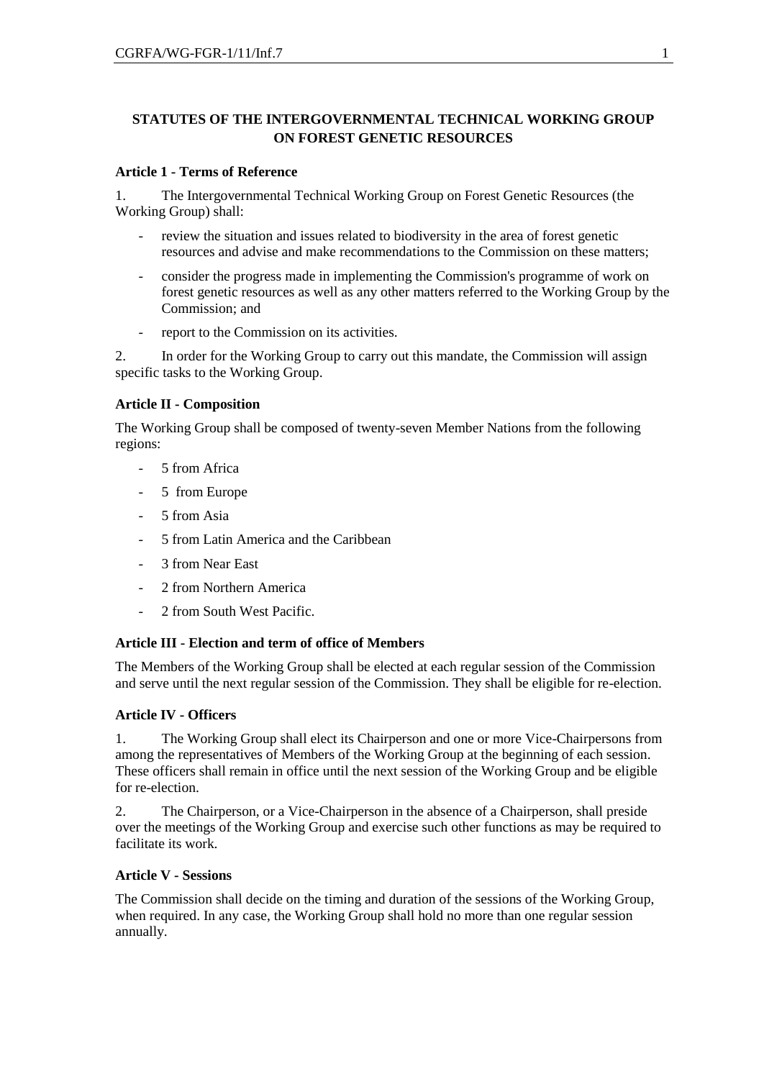## **STATUTES OF THE INTERGOVERNMENTAL TECHNICAL WORKING GROUP ON FOREST GENETIC RESOURCES**

### **Article 1 - Terms of Reference**

1. The Intergovernmental Technical Working Group on Forest Genetic Resources (the Working Group) shall:

- review the situation and issues related to biodiversity in the area of forest genetic resources and advise and make recommendations to the Commission on these matters;
- consider the progress made in implementing the Commission's programme of work on forest genetic resources as well as any other matters referred to the Working Group by the Commission; and
- report to the Commission on its activities.

2. In order for the Working Group to carry out this mandate, the Commission will assign specific tasks to the Working Group.

## **Article II - Composition**

The Working Group shall be composed of twenty-seven Member Nations from the following regions:

- 5 from Africa
- 5 from Europe
- 5 from Asia
- 5 from Latin America and the Caribbean
- 3 from Near East
- 2 from Northern America
- 2 from South West Pacific.

### **Article III - Election and term of office of Members**

The Members of the Working Group shall be elected at each regular session of the Commission and serve until the next regular session of the Commission. They shall be eligible for re-election.

## **Article IV - Officers**

1. The Working Group shall elect its Chairperson and one or more Vice-Chairpersons from among the representatives of Members of the Working Group at the beginning of each session. These officers shall remain in office until the next session of the Working Group and be eligible for re-election.

2. The Chairperson, or a Vice-Chairperson in the absence of a Chairperson, shall preside over the meetings of the Working Group and exercise such other functions as may be required to facilitate its work.

### **Article V - Sessions**

The Commission shall decide on the timing and duration of the sessions of the Working Group, when required. In any case, the Working Group shall hold no more than one regular session annually.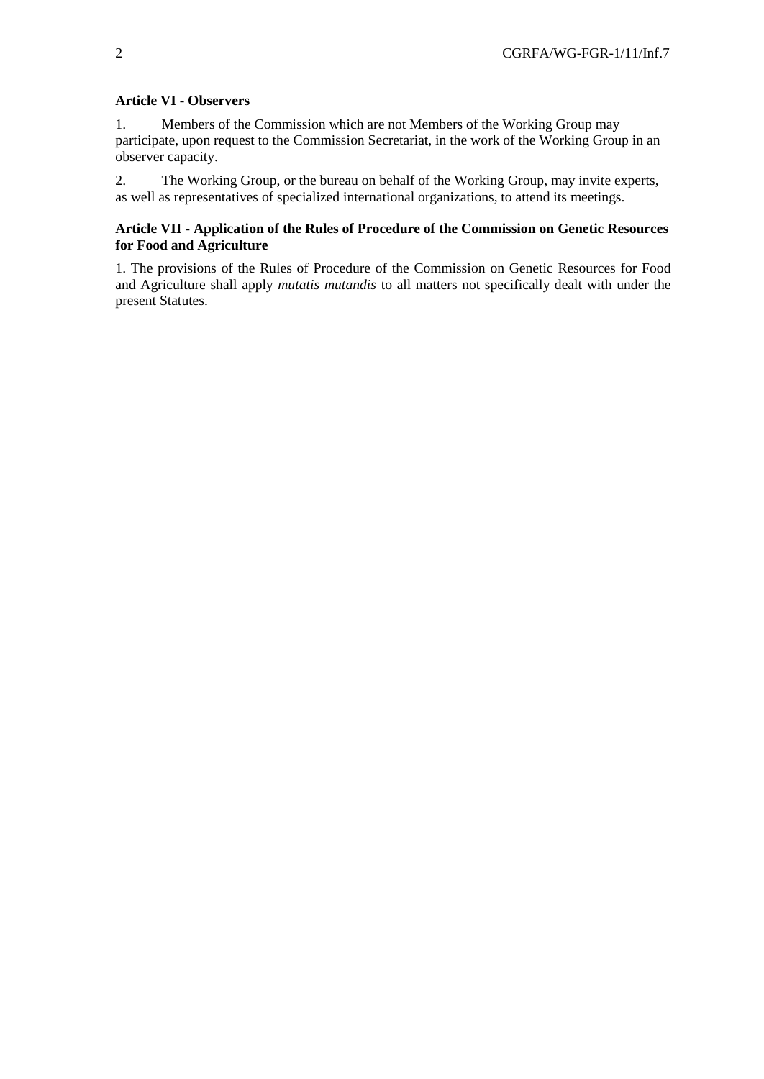### **Article VI - Observers**

1. Members of the Commission which are not Members of the Working Group may participate, upon request to the Commission Secretariat, in the work of the Working Group in an observer capacity.

2. The Working Group, or the bureau on behalf of the Working Group, may invite experts, as well as representatives of specialized international organizations, to attend its meetings.

## **Article VII - Application of the Rules of Procedure of the Commission on Genetic Resources for Food and Agriculture**

1. The provisions of the Rules of Procedure of the Commission on Genetic Resources for Food and Agriculture shall apply *mutatis mutandis* to all matters not specifically dealt with under the present Statutes.